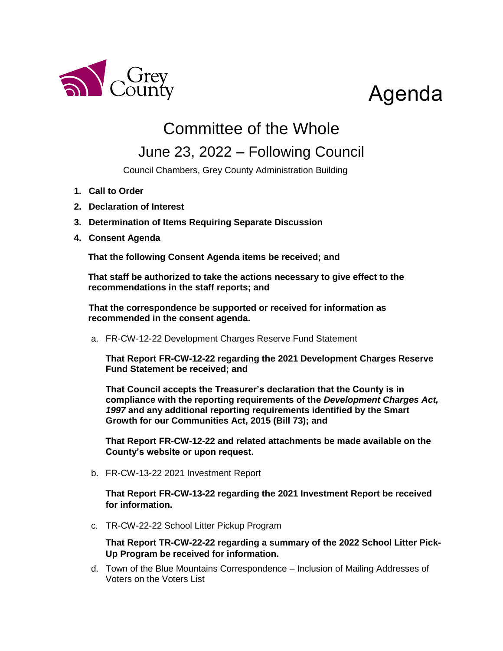

# Agenda

## Committee of the Whole

### June 23, 2022 – Following Council

Council Chambers, Grey County Administration Building

- **1. Call to Order**
- **2. Declaration of Interest**
- **3. Determination of Items Requiring Separate Discussion**
- **4. Consent Agenda**

**That the following Consent Agenda items be received; and**

**That staff be authorized to take the actions necessary to give effect to the recommendations in the staff reports; and**

**That the correspondence be supported or received for information as recommended in the consent agenda.**

a. FR-CW-12-22 Development Charges Reserve Fund Statement

**That Report FR-CW-12-22 regarding the 2021 Development Charges Reserve Fund Statement be received; and**

**That Council accepts the Treasurer's declaration that the County is in compliance with the reporting requirements of the** *Development Charges Act, 1997* **and any additional reporting requirements identified by the Smart Growth for our Communities Act, 2015 (Bill 73); and**

**That Report FR-CW-12-22 and related attachments be made available on the County's website or upon request.**

b. FR-CW-13-22 2021 Investment Report

**That Report FR-CW-13-22 regarding the 2021 Investment Report be received for information.**

c. TR-CW-22-22 School Litter Pickup Program

**That Report TR-CW-22-22 regarding a summary of the 2022 School Litter Pick-Up Program be received for information.**

d. Town of the Blue Mountains Correspondence – Inclusion of Mailing Addresses of Voters on the Voters List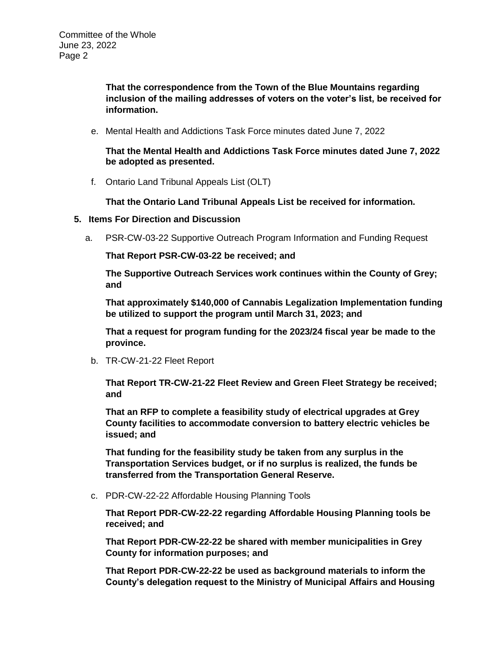**That the correspondence from the Town of the Blue Mountains regarding inclusion of the mailing addresses of voters on the voter's list, be received for information.** 

e. Mental Health and Addictions Task Force minutes dated June 7, 2022

**That the Mental Health and Addictions Task Force minutes dated June 7, 2022 be adopted as presented.**

f. Ontario Land Tribunal Appeals List (OLT)

**That the Ontario Land Tribunal Appeals List be received for information.** 

- **5. Items For Direction and Discussion**
	- a. PSR-CW-03-22 Supportive Outreach Program Information and Funding Request

**That Report PSR-CW-03-22 be received; and** 

**The Supportive Outreach Services work continues within the County of Grey; and**

**That approximately \$140,000 of Cannabis Legalization Implementation funding be utilized to support the program until March 31, 2023; and**

**That a request for program funding for the 2023/24 fiscal year be made to the province.**

b. TR-CW-21-22 Fleet Report

**That Report TR-CW-21-22 Fleet Review and Green Fleet Strategy be received; and**

**That an RFP to complete a feasibility study of electrical upgrades at Grey County facilities to accommodate conversion to battery electric vehicles be issued; and** 

**That funding for the feasibility study be taken from any surplus in the Transportation Services budget, or if no surplus is realized, the funds be transferred from the Transportation General Reserve.**

c. PDR-CW-22-22 Affordable Housing Planning Tools

**That Report PDR-CW-22-22 regarding Affordable Housing Planning tools be received; and**

**That Report PDR-CW-22-22 be shared with member municipalities in Grey County for information purposes; and**

**That Report PDR-CW-22-22 be used as background materials to inform the County's delegation request to the Ministry of Municipal Affairs and Housing**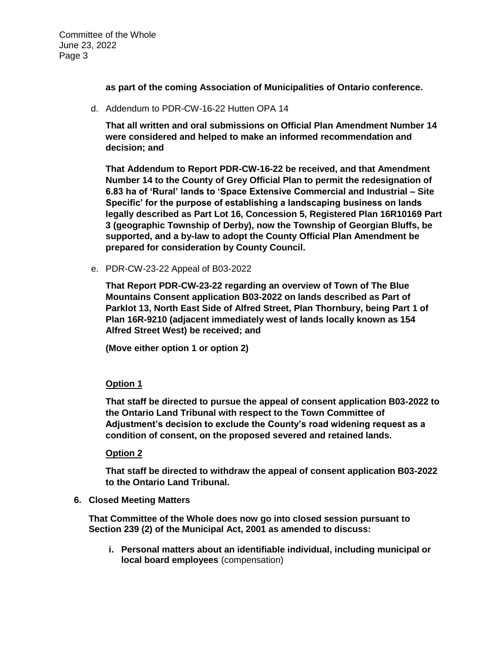Committee of the Whole June 23, 2022 Page 3

**as part of the coming Association of Municipalities of Ontario conference.**

d. Addendum to PDR-CW-16-22 Hutten OPA 14

**That all written and oral submissions on Official Plan Amendment Number 14 were considered and helped to make an informed recommendation and decision; and**

**That Addendum to Report PDR-CW-16-22 be received, and that Amendment Number 14 to the County of Grey Official Plan to permit the redesignation of 6.83 ha of 'Rural' lands to 'Space Extensive Commercial and Industrial – Site Specific' for the purpose of establishing a landscaping business on lands legally described as Part Lot 16, Concession 5, Registered Plan 16R10169 Part 3 (geographic Township of Derby), now the Township of Georgian Bluffs, be supported, and a by-law to adopt the County Official Plan Amendment be prepared for consideration by County Council.**

e. PDR-CW-23-22 Appeal of B03-2022

**That Report PDR-CW-23-22 regarding an overview of Town of The Blue Mountains Consent application B03-2022 on lands described as Part of Parklot 13, North East Side of Alfred Street, Plan Thornbury, being Part 1 of Plan 16R-9210 (adjacent immediately west of lands locally known as 154 Alfred Street West) be received; and**

**(Move either option 1 or option 2)**

#### **Option 1**

**That staff be directed to pursue the appeal of consent application B03-2022 to the Ontario Land Tribunal with respect to the Town Committee of Adjustment's decision to exclude the County's road widening request as a condition of consent, on the proposed severed and retained lands.**

#### **Option 2**

**That staff be directed to withdraw the appeal of consent application B03-2022 to the Ontario Land Tribunal.**

**6. Closed Meeting Matters**

**That Committee of the Whole does now go into closed session pursuant to Section 239 (2) of the Municipal Act, 2001 as amended to discuss:**

**i. Personal matters about an identifiable individual, including municipal or local board employees** (compensation)